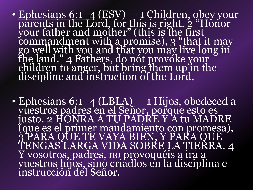- Ephesians 6:1–4 (ESV) 1 Children, obey your parents in the Lord, for this is right. 2 "Honor your father and mother" (this is the first commandment with a promise), 3 "that it may go well with you and that you may live long in the land." 4 Fathers, do not provoke your children to anger, but bring them up in the discipline and instruction of the Lord.
- Ephesians 6:1–4 (LBLA) 1 Hijos, obedeced a vuestros padres en el Señor, porque esto es justo. 2 HONRA A TU PADRE Y A tu MADRE (que es el primer mandamiento con promesa), <u>3 PARA QUE TE VAYA BIEN, Y PARA QUE </u> TENGAS LARGA VIDA SOBRE LA TIERRA. 4 Y vosotros, padres, no provoquéis a ira a vuestros hijos, sino criadlos en la disciplina e instrucción del Señor.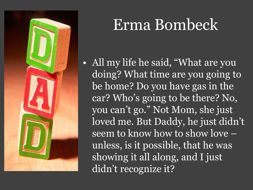

# Erma Bombeck

• All my life he said, "What are you doing? What time are you going to be home? Do you have gas in the car? Who's going to be there? No, you can't go." Not Mom, she just loved me. But Daddy, he just didn't seem to know how to show love – unless, is it possible, that he was showing it all along, and I just didn't recognize it?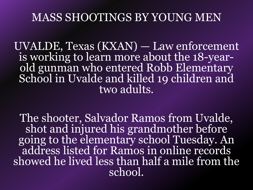## MASS SHOOTINGS BY YOUNG MEN

UVALDE, Texas (KXAN) — Law enforcement is working to learn more about the 18-yearold gunman who entered Robb Elementary School in Uvalde and killed 19 children and two adults.

The shooter, Salvador Ramos from Uvalde, shot and injured his grandmother before going to the elementary school Tuesday. An address listed for Ramos in online records showed he lived less than half a mile from the school.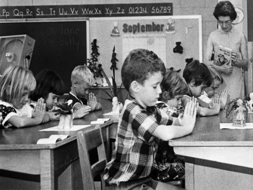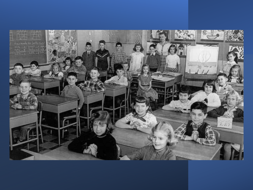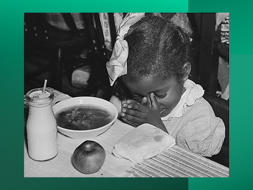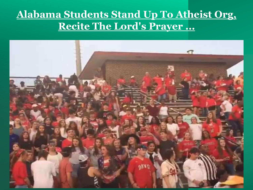### **[Alabama Students Stand Up To Atheist Org,](https://activistmommy.com/alabama-students-stand-up-to-atheist-org-recite-the-lords-prayer-before-football-game/?fbclid=IwAR1Wxt91EWoNyfJCZ7osWEuR9q1ghZql8YayhPpXdmw0aZH8Q9TEaYcLVGU) Recite The Lord's Prayer ...**

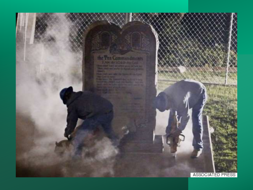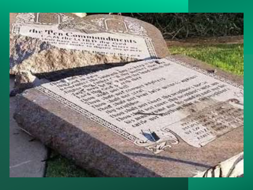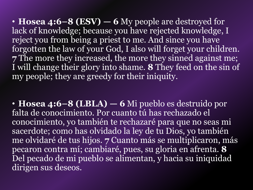• **Hosea 4:6–8 (ESV) — 6** My people are destroyed for lack of knowledge; because you have rejected knowledge, I reject you from being a priest to me. And since you have forgotten the law of your God, I also will forget your children. **7** The more they increased, the more they sinned against me; I will change their glory into shame. **8** They feed on the sin of my people; they are greedy for their iniquity.

• **Hosea 4:6–8 (LBLA) — 6** Mi pueblo es destruido por falta de conocimiento. Por cuanto tú has rechazado el conocimiento, yo también te rechazaré para que no seas mi sacerdote; como has olvidado la ley de tu Dios, yo también me olvidaré de tus hijos. **7** Cuanto más se multiplicaron, más pecaron contra mí; cambiaré, pues, su gloria en afrenta. **8** Del pecado de mi pueblo se alimentan, y hacia su iniquidad dirigen sus deseos.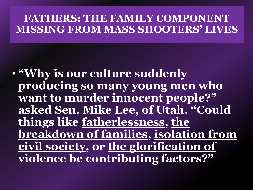#### **FATHERS: THE FAMILY COMPONENT MISSING FROM MASS SHOOTERS' LIVES**

• **"Why is our culture suddenly producing so many young men who want to murder innocent people?" asked Sen. Mike Lee, of Utah. "Could things like fatherlessness, the breakdown of families, isolation from civil society, or the glorification of violence be contributing factors?"**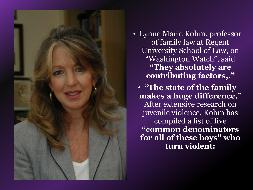

• Lynne Marie Kohm, professor of family law at Regent University School of Law, on "Washington Watch", said **"They absolutely are contributing factors,."**

• **"The state of the family makes a huge difference."**  After extensive research on juvenile violence, Kohm has compiled a list of five **"common denominators for all of these boys" who turn violent:**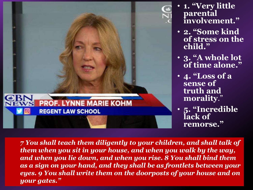

- **1. "Very little parental involvement."**
- **2. "Some kind of stress on the child."**
- **3. "A whole lot of time alone."**
- **4. "Loss of a sense of truth and morality**."
- **5. "Incredible lack of remorse."**

*7 You shall teach them diligently to your children, and shall talk of them when you sit in your house, and when you walk by the way, and when you lie down, and when you rise. 8 You shall bind them as a sign on your hand, and they shall be as frontlets between your eyes. 9 You shall write them on the doorposts of your house and on your gates."*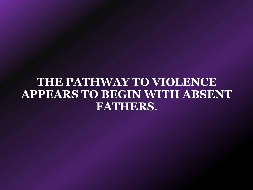## **THE PATHWAY TO VIOLENCE APPEARS TO BEGIN WITH ABSENT FATHERS**.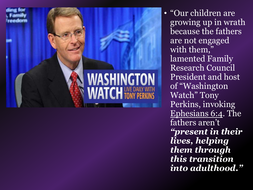

• "Our children are growing up in wrath because the fathers are not engaged with them," lamented Family Research Council President and host of "Washington Watch" Tony Perkins, invoking Ephesians 6:4. The fathers aren't *"present in their lives, helping them through this transition into adulthood."*